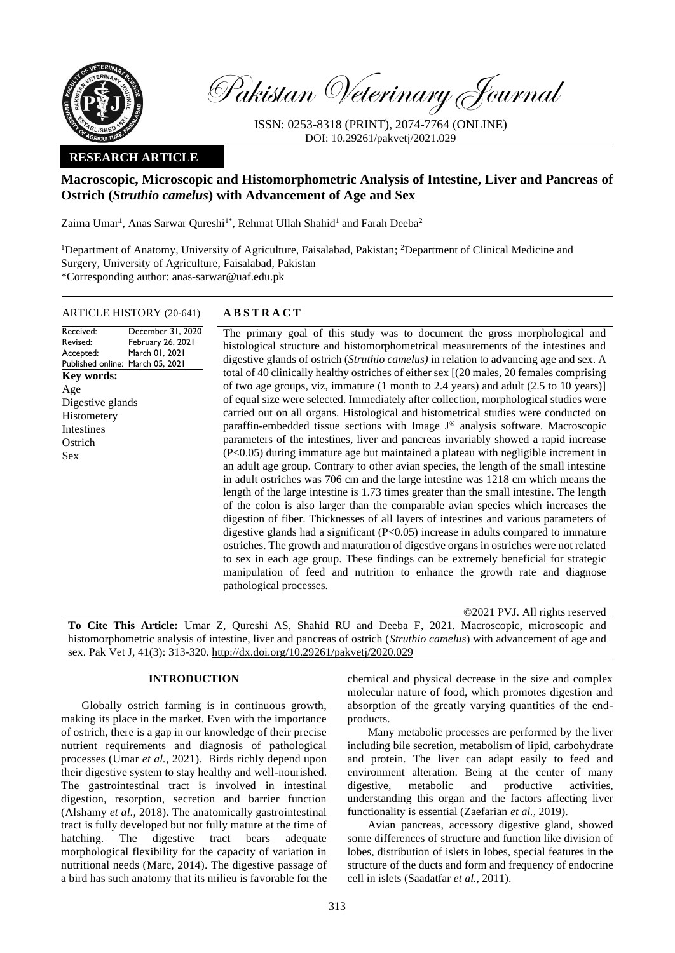

Pakistan Veterinary Journal

ISSN: 0253-8318 (PRINT), 2074-7764 (ONLINE) DOI: 10.29261/pakvetj/2021.029

# **RESEARCH ARTICLE**

# **Macroscopic, Microscopic and Histomorphometric Analysis of Intestine, Liver and Pancreas of Ostrich (***Struthio camelus***) with Advancement of Age and Sex**

Zaima Umar<sup>1</sup>, Anas Sarwar Qureshi<sup>1\*</sup>, Rehmat Ullah Shahid<sup>1</sup> and Farah Deeba<sup>2</sup>

<sup>1</sup>Department of Anatomy, University of Agriculture, Faisalabad, Pakistan; <sup>2</sup>Department of Clinical Medicine and Surgery, University of Agriculture, Faisalabad, Pakistan \*Corresponding author: anas-sarwar@uaf.edu.pk

# ARTICLE HISTORY (20-641) **A B S T R A C T**

Received: Revised: Accepted: Published online: March 05, 2021 December 31, 2020 February 26, 2021 March 01, 2021 **Key words:**  Age Digestive glands Histometery Intestines **Ostrich** Sex

The primary goal of this study was to document the gross morphological and histological structure and histomorphometrical measurements of the intestines and digestive glands of ostrich (*Struthio camelus)* in relation to advancing age and sex. A total of 40 clinically healthy ostriches of either sex [(20 males, 20 females comprising of two age groups, viz, immature (1 month to 2.4 years) and adult (2.5 to 10 years)] of equal size were selected. Immediately after collection, morphological studies were carried out on all organs. Histological and histometrical studies were conducted on paraffin-embedded tissue sections with Image J® analysis software. Macroscopic parameters of the intestines, liver and pancreas invariably showed a rapid increase (P<0.05) during immature age but maintained a plateau with negligible increment in an adult age group. Contrary to other avian species, the length of the small intestine in adult ostriches was 706 cm and the large intestine was 1218 cm which means the length of the large intestine is 1.73 times greater than the small intestine. The length of the colon is also larger than the comparable avian species which increases the digestion of fiber. Thicknesses of all layers of intestines and various parameters of digestive glands had a significant (P<0.05) increase in adults compared to immature ostriches. The growth and maturation of digestive organs in ostriches were not related to sex in each age group. These findings can be extremely beneficial for strategic manipulation of feed and nutrition to enhance the growth rate and diagnose pathological processes.

©2021 PVJ. All rights reserved

**To Cite This Article:** Umar Z, Qureshi AS, Shahid RU and Deeba F, 2021. Macroscopic, microscopic and histomorphometric analysis of intestine, liver and pancreas of ostrich (*Struthio camelus*) with advancement of age and sex. Pak Vet J, 41(3): 313-320. [http://dx.doi.org/10.29261/pakvetj/2020.029](http://pvj.com.pk/in_press/20-641.pdf)

# **INTRODUCTION**

Globally ostrich farming is in continuous growth, making its place in the market. Even with the importance of ostrich, there is a gap in our knowledge of their precise nutrient requirements and diagnosis of pathological processes (Umar *et al.,* 2021). Birds richly depend upon their digestive system to stay healthy and well-nourished. The gastrointestinal tract is involved in intestinal digestion, resorption, secretion and barrier function (Alshamy *et al.,* 2018). The anatomically gastrointestinal tract is fully developed but not fully mature at the time of hatching. The digestive tract bears adequate morphological flexibility for the capacity of variation in nutritional needs (Marc, 2014). The digestive passage of a bird has such anatomy that its milieu is favorable for the chemical and physical decrease in the size and complex molecular nature of food, which promotes digestion and absorption of the greatly varying quantities of the endproducts.

Many metabolic processes are performed by the liver including bile secretion, metabolism of lipid, carbohydrate and protein. The liver can adapt easily to feed and environment alteration. Being at the center of many digestive, metabolic and productive activities, understanding this organ and the factors affecting liver functionality is essential (Zaefarian *et al.,* 2019).

Avian pancreas, accessory digestive gland, showed some differences of structure and function like division of lobes, distribution of islets in lobes, special features in the structure of the ducts and form and frequency of endocrine cell in islets (Saadatfar *et al.,* 2011).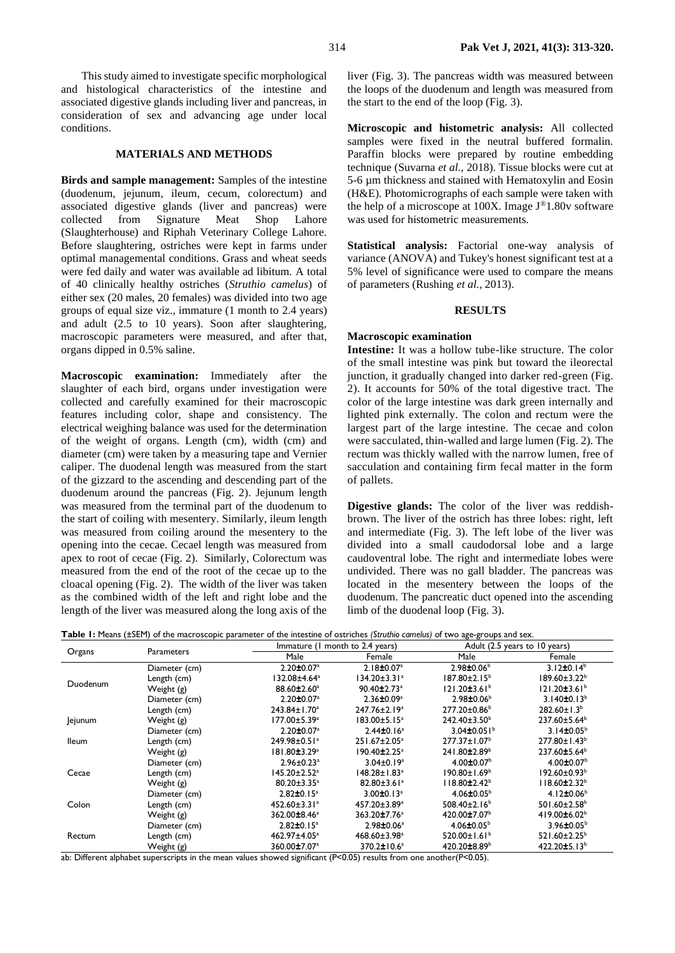This study aimed to investigate specific morphological and histological characteristics of the intestine and associated digestive glands including liver and pancreas, in consideration of sex and advancing age under local conditions.

## **MATERIALS AND METHODS**

**Birds and sample management:** Samples of the intestine (duodenum, jejunum, ileum, cecum, colorectum) and associated digestive glands (liver and pancreas) were collected from Signature Meat Shop Lahore (Slaughterhouse) and Riphah Veterinary College Lahore. Before slaughtering, ostriches were kept in farms under optimal managemental conditions. Grass and wheat seeds were fed daily and water was available ad libitum. A total of 40 clinically healthy ostriches (*Struthio camelus*) of either sex (20 males, 20 females) was divided into two age groups of equal size viz., immature (1 month to 2.4 years) and adult (2.5 to 10 years). Soon after slaughtering, macroscopic parameters were measured, and after that, organs dipped in 0.5% saline.

**Macroscopic examination:** Immediately after the slaughter of each bird, organs under investigation were collected and carefully examined for their macroscopic features including color, shape and consistency. The electrical weighing balance was used for the determination of the weight of organs. Length (cm), width (cm) and diameter (cm) were taken by a measuring tape and Vernier caliper. The duodenal length was measured from the start of the gizzard to the ascending and descending part of the duodenum around the pancreas (Fig. 2). Jejunum length was measured from the terminal part of the duodenum to the start of coiling with mesentery. Similarly, ileum length was measured from coiling around the mesentery to the opening into the cecae. Cecael length was measured from apex to root of cecae (Fig. 2). Similarly, Colorectum was measured from the end of the root of the cecae up to the cloacal opening (Fig. 2). The width of the liver was taken as the combined width of the left and right lobe and the length of the liver was measured along the long axis of the

liver (Fig. 3). The pancreas width was measured between the loops of the duodenum and length was measured from the start to the end of the loop (Fig. 3).

**Microscopic and histometric analysis:** All collected samples were fixed in the neutral buffered formalin. Paraffin blocks were prepared by routine embedding technique (Suvarna *et al.,* 2018). Tissue blocks were cut at 5-6 µm thickness and stained with Hematoxylin and Eosin (H&E). Photomicrographs of each sample were taken with the help of a microscope at  $100X$ . Image  $J^{\circledR}1.80v$  software was used for histometric measurements.

**Statistical analysis:** Factorial one-way analysis of variance (ANOVA) and Tukey's honest significant test at a 5% level of significance were used to compare the means of parameters (Rushing *et al.,* 2013).

#### **RESULTS**

## **Macroscopic examination**

**Intestine:** It was a hollow tube-like structure. The color of the small intestine was pink but toward the ileorectal junction, it gradually changed into darker red-green (Fig. 2). It accounts for 50% of the total digestive tract. The color of the large intestine was dark green internally and lighted pink externally. The colon and rectum were the largest part of the large intestine. The cecae and colon were sacculated, thin-walled and large lumen (Fig. 2). The rectum was thickly walled with the narrow lumen, free of sacculation and containing firm fecal matter in the form of pallets.

**Digestive glands:** The color of the liver was reddishbrown. The liver of the ostrich has three lobes: right, left and intermediate (Fig. 3). The left lobe of the liver was divided into a small caudodorsal lobe and a large caudoventral lobe. The right and intermediate lobes were undivided. There was no gall bladder. The pancreas was located in the mesentery between the loops of the duodenum. The pancreatic duct opened into the ascending limb of the duodenal loop (Fig. 3).

|  |  |  |  | Table 1: Means (±SEM) of the macroscopic parameter of the intestine of ostriches (Struthio camelus) of two age-groups and sex. |
|--|--|--|--|--------------------------------------------------------------------------------------------------------------------------------|
|--|--|--|--|--------------------------------------------------------------------------------------------------------------------------------|

| Organs       |                   |                              | Immature (1 month to 2.4 years) |                                | Adult (2.5 years to 10 years)  |  |
|--------------|-------------------|------------------------------|---------------------------------|--------------------------------|--------------------------------|--|
|              | <b>Parameters</b> | Male                         | Female                          | Male                           | Female                         |  |
|              | Diameter (cm)     | $2.20 \pm 0.07$ <sup>a</sup> | $2.18 \pm 0.07$ <sup>a</sup>    | $2.98 \pm 0.06^b$              | $3.12 \pm 0.14^b$              |  |
| Duodenum     | Length (cm)       | 132.08±4.64ª                 | $134.20 \pm 3.31^a$             | $187.80 \pm 2.15^{\circ}$      | $189.60 \pm 3.22^b$            |  |
|              | Weight (g)        | 88.60±2.60 <sup>a</sup>      | $90.40 \pm 2.73$ <sup>a</sup>   | $121.20 \pm 3.61^b$            | $121.20 \pm 3.61^b$            |  |
|              | Diameter (cm)     | $2.20 \pm 0.07$ <sup>a</sup> | $2.36 \pm 0.09^a$               | $2.98 \pm 0.06^{\circ}$        | 3.140 $\pm$ 0.13 <sup>b</sup>  |  |
|              | Length (cm)       | 243.84±1.70 <sup>a</sup>     | 247.76±2.19 <sup>a</sup>        | $277.20 \pm 0.86^b$            | $282.60 \pm 1.3^b$             |  |
| Jejunum      | Weight (g)        | 177.00±5.39 <sup>a</sup>     | $183.00 \pm 5.15^a$             | $242.40 \pm 3.50^{\circ}$      | $237.60 \pm 5.64^b$            |  |
|              | Diameter (cm)     | $2.20 \pm 0.07$ <sup>a</sup> | $2.44 \pm 0.16$ <sup>a</sup>    | $3.04\pm0.051$ <sup>b</sup>    | $3.14\pm0.05^{b}$              |  |
| <b>Ileum</b> | Length (cm)       | 249.98±0.51 <sup>a</sup>     | 251.67±2.05 <sup>a</sup>        | 277.37±1.07 <sup>b</sup>       | $277.80 \pm 1.43^b$            |  |
|              | Weight (g)        | 181.80±3.29 <sup>a</sup>     | 190.40±2.25ª                    | 241.80±2.89 <sup>b</sup>       | 237.60±5.64 <sup>b</sup>       |  |
|              | Diameter (cm)     | $2.96 \pm 0.23$ <sup>a</sup> | $3.04 \pm 0.19^a$               | $4.00 \pm 0.07$ <sup>b</sup>   | $4.00 \pm 0.07$ <sup>b</sup>   |  |
| Cecae        | Length (cm)       | 145.20±2.52ª                 | 148.28±1.83ª                    | $190.80 \pm 1.69^{\circ}$      | $192.60 \pm 0.93^b$            |  |
|              | Weight (g)        | $80.20 \pm 3.35^a$           | $82.80 \pm 3.61$ <sup>a</sup>   | $118.80 \pm 2.42^b$            | $118.60 \pm 2.32^b$            |  |
|              | Diameter (cm)     | $2.82 \pm 0.15^a$            | $3.00 \pm 0.13$ <sup>a</sup>    | $4.06 \pm 0.05^{\circ}$        | 4.12 $\pm$ 0.06 <sup>b</sup>   |  |
| Colon        | Length (cm)       | 452.60±3.31ª                 | 457.20±3.89 <sup>a</sup>        | 508.40 $\pm$ 2.16 <sup>b</sup> | 501.60±2.58 <sup>b</sup>       |  |
|              | Weight (g)        | 362.00±8.46 <sup>a</sup>     | 363.20±7.76 <sup>a</sup>        | 420.00±7.07 <sup>b</sup>       | 419.00 $\pm$ 6.02 <sup>b</sup> |  |
|              | Diameter (cm)     | $2.82 \pm 0.15^a$            | 2.98±0.06 <sup>a</sup>          | $4.06 \pm 0.05^b$              | $3.96 \pm 0.05^{\circ}$        |  |
| Rectum       | Length (cm)       | 462.97±4.05 <sup>a</sup>     | 468.60±3.98 <sup>a</sup>        | 520.00 $\pm$ 1.61 <sup>b</sup> | 521.60±2.25 <sup>b</sup>       |  |
|              | Weight (g)        | 360.00±7.07 <sup>a</sup>     | 370.2±10.6 <sup>a</sup>         | 420.20±8.89 <sup>b</sup>       | 422.20 $±5.13b$                |  |

ab: Different alphabet superscripts in the mean values showed significant (P<0.05) results from one another(P<0.05).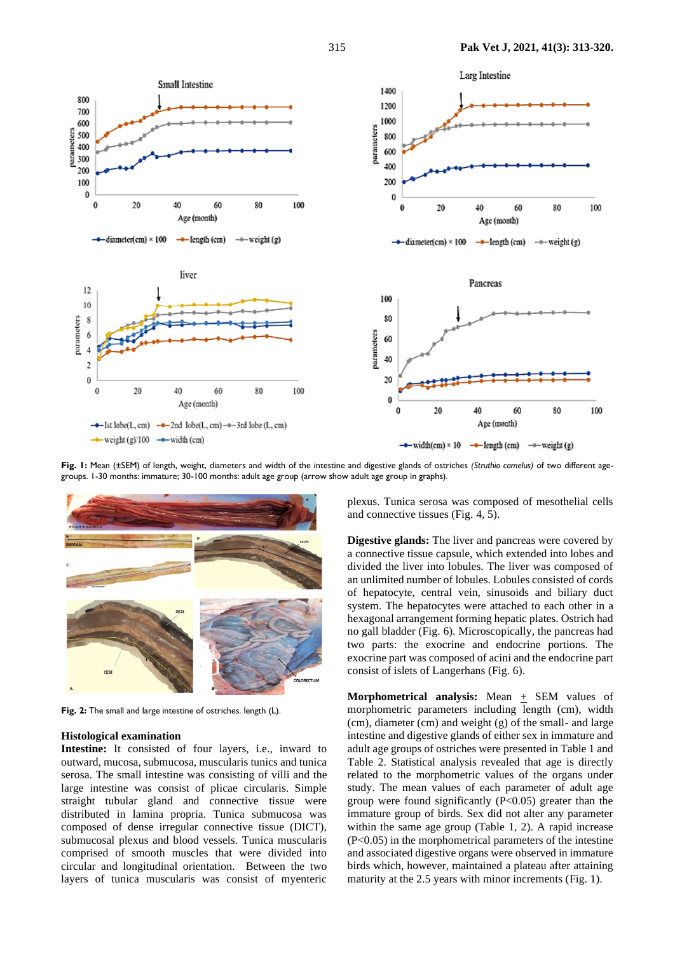

**Fig. 1:** Mean (±SEM) of length, weight, diameters and width of the intestine and digestive glands of ostriches *(Struthio camelus)* of two different agegroups. 1-30 months: immature; 30-100 months: adult age group (arrow show adult age group in graphs).



**Fig. 2:** The small and large intestine of ostriches. length (L).

### **Histological examination**

**Intestine:** It consisted of four layers, i.e., inward to outward, mucosa, submucosa, muscularis tunics and tunica serosa. The small intestine was consisting of villi and the large intestine was consist of plicae circularis. Simple straight tubular gland and connective tissue were distributed in lamina propria. Tunica submucosa was composed of dense irregular connective tissue (DICT), submucosal plexus and blood vessels. Tunica muscularis comprised of smooth muscles that were divided into circular and longitudinal orientation. Between the two layers of tunica muscularis was consist of myenteric plexus. Tunica serosa was composed of mesothelial cells and connective tissues (Fig. 4, 5).

**Digestive glands:** The liver and pancreas were covered by a connective tissue capsule, which extended into lobes and divided the liver into lobules. The liver was composed of an unlimited number of lobules. Lobules consisted of cords of hepatocyte, central vein, sinusoids and biliary duct system. The hepatocytes were attached to each other in a hexagonal arrangement forming hepatic plates. Ostrich had no gall bladder (Fig. 6). Microscopically, the pancreas had two parts: the exocrine and endocrine portions. The exocrine part was composed of acini and the endocrine part consist of islets of Langerhans (Fig. 6).

**Morphometrical analysis:** Mean  $+$  SEM values of morphometric parameters including length (cm), width (cm), diameter (cm) and weight (g) of the small- and large intestine and digestive glands of either sex in immature and adult age groups of ostriches were presented in Table 1 and Table 2. Statistical analysis revealed that age is directly related to the morphometric values of the organs under study. The mean values of each parameter of adult age group were found significantly  $(P<0.05)$  greater than the immature group of birds. Sex did not alter any parameter within the same age group (Table 1, 2). A rapid increase (P<0.05) in the morphometrical parameters of the intestine and associated digestive organs were observed in immature birds which, however, maintained a plateau after attaining maturity at the 2.5 years with minor increments (Fig. 1).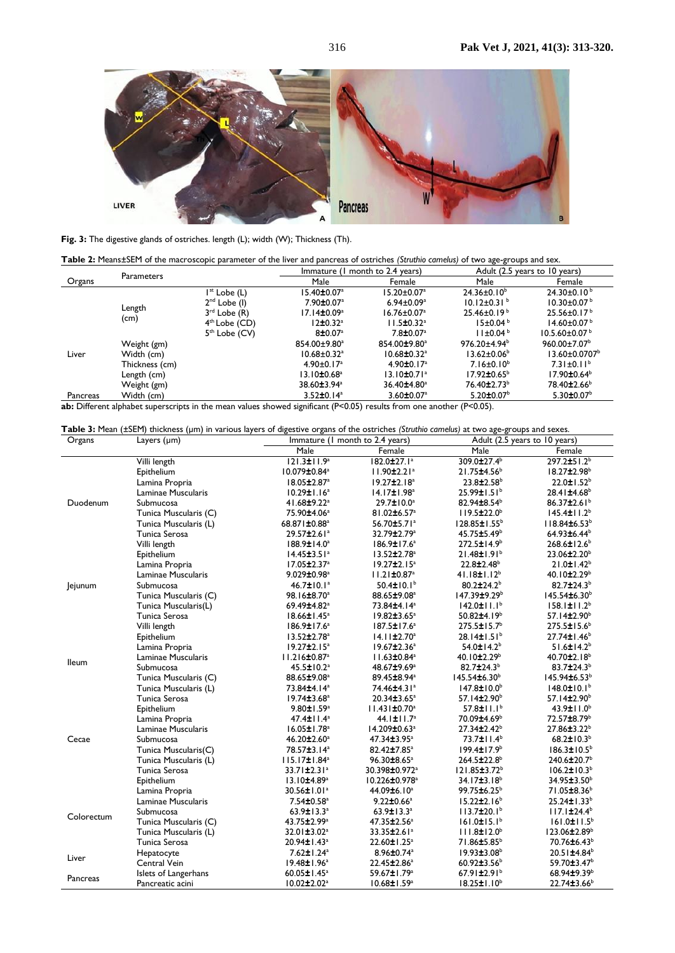

**Fig. 3:** The digestive glands of ostriches. length (L); width (W); Thickness (Th).

| Table 2: Means±SEM of the macroscopic parameter of the liver and pancreas of ostriches (Struthio camelus) of two age-groups and sex. |  |
|--------------------------------------------------------------------------------------------------------------------------------------|--|
|--------------------------------------------------------------------------------------------------------------------------------------|--|

| <b>Parameters</b> |                |                          | Immature (1 month to 2.4 years) |                               | Adult (2.5 years to 10 years)  |                                 |
|-------------------|----------------|--------------------------|---------------------------------|-------------------------------|--------------------------------|---------------------------------|
| Organs            |                |                          | Male                            | Female                        | Male                           | Female                          |
|                   |                | I <sup>st</sup> Lobe (L) | 15.40±0.07ª                     | $15.20 \pm 0.07^{\circ}$      | $24.36 \pm 0.10^b$             | $24.30\pm0.10^{b}$              |
|                   | Length         | $2nd$ Lobe (I)           | $7.90 \pm 0.07$ <sup>a</sup>    | $6.94 \pm 0.09$ <sup>a</sup>  | $10.12 \pm 0.31$ <sup>b</sup>  | $10.30 \pm 0.07^{\circ}$        |
|                   |                | $3rd$ Lobe $(R)$         | $17.14 \pm 0.09^a$              | $16.76 \pm 0.07$ <sup>a</sup> | $25.46 \pm 0.19^{\circ}$       | $25.56 \pm 0.17^{\circ}$        |
|                   |                | $4th$ Lobe (CD)          | 12±0.32 <sup>a</sup>            | $11.5 \pm 0.32$ <sup>a</sup>  | $15\pm0.04^{\circ}$            | $14.60 \pm 0.07^{\circ}$        |
|                   |                | $5th$ Lobe (CV)          | 8±0.07 <sup>a</sup>             | $7.8 \pm 0.07$ <sup>a</sup>   | $11 \pm 0.04^{\circ}$          | $10.5.60 \pm 0.07$ <sup>b</sup> |
|                   | Weight (gm)    |                          | 854.00±9.80 <sup>a</sup>        | 854.00±9.80 <sup>a</sup>      | $976.20 \pm 4.94$ <sup>b</sup> | $960.00 \pm 7.07$ <sup>b</sup>  |
| Liver             | Width (cm)     |                          | $10.68 \pm 0.32$ <sup>a</sup>   | $10.68 \pm 0.32$ <sup>a</sup> | $13.62 \pm 0.06^{\circ}$       | $13.60 \pm 0.0707$ <sup>b</sup> |
|                   | Thickness (cm) |                          | $4.90 \pm 0.17$ <sup>a</sup>    | 4.90 $\pm$ 0.17 <sup>a</sup>  | $7.16 \pm 0.10^b$              | $7.31 \pm 0.11^b$               |
|                   | Length (cm)    |                          | $13.10 \pm 0.68$ <sup>a</sup>   | $13.10 \pm 0.71$ <sup>a</sup> | $17.92 \pm 0.65^{\circ}$       | $17.90 \pm 0.64^{\circ}$        |
|                   | Weight (gm)    |                          | 38.60±3.94 <sup>a</sup>         | 36.40±4.80 <sup>a</sup>       | 76.40±2.73 <sup>b</sup>        | 78.40±2.66 <sup>b</sup>         |
| Pancreas          | Width (cm)     |                          | $3.52 \pm 0.14$ <sup>a</sup>    | $3.60 \pm 0.07$ <sup>a</sup>  | $5.20 \pm 0.07$ <sup>b</sup>   | $5.30 \pm 0.07^{\circ}$         |
| $-1$              | (cm)           |                          | $  -$                           |                               |                                |                                 |

**ab:** Different alphabet superscripts in the mean values showed significant (P<0.05) results from one another (P<0.05).

| Organs     | Layers (um)           | Immature (1 month to 2.4 years) |                                | Table 3: Mean (±SEM) thickness (µm) in various layers of digestive organs of the ostriches (Struthio camelus) at two age-groups and sexes.<br>Adult (2.5 years to 10 years) |                               |
|------------|-----------------------|---------------------------------|--------------------------------|-----------------------------------------------------------------------------------------------------------------------------------------------------------------------------|-------------------------------|
|            |                       | Male                            | Female                         | Male                                                                                                                                                                        | Female                        |
|            | Villi length          | $121.3 \pm 11.9^a$              | 182.0±27.1ª                    | 309.0±27.4 <sup>b</sup>                                                                                                                                                     | 297.2±51.2 <sup>b</sup>       |
|            | Epithelium            | 10.079±0.84 <sup>a</sup>        | $11.90 \pm 2.21$ <sup>a</sup>  | 21.75±4.56 <sup>b</sup>                                                                                                                                                     | 18.27±2.98 <sup>b</sup>       |
|            | Lamina Propria        | 18.05±2.87 <sup>a</sup>         | $19.27 \pm 2.18^a$             | $23.8 \pm 2.58$ <sup>b</sup>                                                                                                                                                | $22.0 \pm 1.52^b$             |
|            | Laminae Muscularis    | $10.29 \pm 1.16^a$              | 14.17±1.98 <sup>a</sup>        | $25.99 \pm 1.51$ <sup>b</sup>                                                                                                                                               | 28.41±4.68 <sup>b</sup>       |
| Duodenum   | Submucosa             | 41.68±9.22 <sup>a</sup>         | 29.7±10.0 <sup>a</sup>         | 82.94±8.54 <sup>b</sup>                                                                                                                                                     | 86.37±2.61 <sup>b</sup>       |
|            | Tunica Muscularis (C) | 75.90±4.06 <sup>a</sup>         | 81.02±6.57 <sup>a</sup>        | $119.5 \pm 22.0^{\circ}$                                                                                                                                                    | $145.4 \pm 11.2^b$            |
|            | Tunica Muscularis (L) | 68.871±0.88 <sup>a</sup>        | 56.70±5.71ª                    | 128.85±1.55 <sup>b</sup>                                                                                                                                                    | 118.84±6.53 <sup>b</sup>      |
|            | Tunica Serosa         | 29.57±2.61ª                     | 32.79±2.79 <sup>a</sup>        | 45.75±5.49 <sup>b</sup>                                                                                                                                                     | 64.93±6.44 <sup>b</sup>       |
|            | Villi length          | 188.9±14.0 <sup>a</sup>         | 186.9±17.6 <sup>a</sup>        | $272.5 \pm 14.9^b$                                                                                                                                                          | $268.6 \pm 12.6^b$            |
|            | Epithelium            | 14.45±3.51ª                     | $13.52 \pm 2.78$ <sup>a</sup>  | $21.48 \pm 1.91^b$                                                                                                                                                          | 23.06±2.20 <sup>b</sup>       |
|            | Lamina Propria        | $17.05 \pm 2.37$ <sup>a</sup>   | $19.27 \pm 2.15^a$             | $22.8 \pm 2.48$ <sup>b</sup>                                                                                                                                                | $21.0 \pm 1.42^b$             |
|            | Laminae Muscularis    | 9.029±0.98 <sup>a</sup>         | $11.21 \pm 0.87$ <sup>a</sup>  | $41.18 \pm 1.12^b$                                                                                                                                                          | 40.10 $\pm$ 2.29 <sup>b</sup> |
| Jejunum    | Submucosa             | 46.7±10.1ª                      | $50.4 \pm 10.1^b$              | 80.2±24.2 <sup>b</sup>                                                                                                                                                      | 82.7 $\pm$ 24.3 <sup>b</sup>  |
|            | Tunica Muscularis (C) | 98.16±8.70 <sup>a</sup>         | 88.65±9.08 <sup>a</sup>        | 147.39±9.29 <sup>b</sup>                                                                                                                                                    | 145.54±6.30 <sup>b</sup>      |
|            | Tunica Muscularis(L)  | 69.49±4.82 <sup>a</sup>         | 73.84±4.14 <sup>a</sup>        | $142.0 \pm 11.1^b$                                                                                                                                                          | $158.1 \pm 11.2^b$            |
|            | Tunica Serosa         | $18.66 \pm 1.45^a$              | $19.82 \pm 3.65^{\circ}$       | 50.82 $\pm$ 4.19 <sup>b</sup>                                                                                                                                               | $57.14 \pm 2.90^{\circ}$      |
|            | Villi length          | $186.9 \pm 17.6^a$              | 187.5±17.6 <sup>a</sup>        | $275.5 \pm 15.7^{\circ}$                                                                                                                                                    | $275.5 \pm 15.6^b$            |
|            | Epithelium            | $13.52 \pm 2.78$ <sup>a</sup>   | $14.11 \pm 2.70^a$             | $28.14 \pm 1.51$ <sup>b</sup>                                                                                                                                               | 27.74±1.46 <sup>b</sup>       |
|            | Lamina Propria        | $19.27 \pm 2.15^a$              | $19.67 \pm 2.36^a$             | $54.0 \pm 14.2^b$                                                                                                                                                           | $51.6 \pm 14.2^b$             |
|            | Laminae Muscularis    | $11.216 \pm 0.87$ <sup>a</sup>  | 11.63±0.84 <sup>a</sup>        | 40.10±2.29 <sup>b</sup>                                                                                                                                                     | 40.70 $\pm$ 2.18 <sup>b</sup> |
| lleum      | Submucosa             | 45.5±10.2 <sup>a</sup>          | 48.67±9.69 <sup>a</sup>        | 82.7±24.3 <sup>b</sup>                                                                                                                                                      | 83.7±24.3 <sup>b</sup>        |
|            | Tunica Muscularis (C) | 88.65±9.08 <sup>a</sup>         | 89.45±8.94 <sup>a</sup>        | $145.54\pm6.30^b$                                                                                                                                                           | 145.94±6.53 <sup>b</sup>      |
|            | Tunica Muscularis (L) | 73.84±4.14 <sup>a</sup>         | 74.46±4.31ª                    | $147.8 \pm 10.0^{\circ}$                                                                                                                                                    | $148.0 \pm 10.1^b$            |
|            | Tunica Serosa         | 19.74±3.68 <sup>a</sup>         | 20.34±3.65 <sup>a</sup>        | 57.14±2.90 <sup>b</sup>                                                                                                                                                     | 57.14±2.90 <sup>b</sup>       |
|            | Epithelium            | 9.80±1.59 <sup>a</sup>          | $11.431 \pm 0.70$ <sup>a</sup> | $57.8 \pm 11.1^b$                                                                                                                                                           | 43.9± $11.0^b$                |
|            | Lamina Propria        | $47.4 \pm 11.4^a$               | $44.1 \pm 11.7$ <sup>a</sup>   | 70.09±4.69 <sup>b</sup>                                                                                                                                                     | 72.57±8.79 <sup>b</sup>       |
|            | Laminae Muscularis    | $16.05 \pm 1.78$ <sup>a</sup>   | 14.209±0.63 <sup>a</sup>       | 27.34±2.42 <sup>b</sup>                                                                                                                                                     | 27.86±3.22 <sup>b</sup>       |
| Cecae      | Submucosa             | 46.20±2.60 <sup>a</sup>         | 47.34±3.95 <sup>a</sup>        | 73.7±11.4 <sup>b</sup>                                                                                                                                                      | $68.2 \pm 10.3^b$             |
|            | Tunica Muscularis(C)  | 78.57±3.14 <sup>a</sup>         | 82.42±7.85 <sup>a</sup>        | $199.4 \pm 17.9^{\circ}$                                                                                                                                                    | $186.3 \pm 10.5^b$            |
|            | Tunica Muscularis (L) | $115.17 \pm 1.84^a$             | 96.30±8.65 <sup>a</sup>        | 264.5±22.8 <sup>b</sup>                                                                                                                                                     | 240.6±20.7 <sup>b</sup>       |
|            | Tunica Serosa         | $33.71 \pm 2.31^a$              | 30.398±0.972 <sup>a</sup>      | 121.85±3.72 <sup>b</sup>                                                                                                                                                    | $106.2 \pm 10.3^b$            |
|            | Epithelium            | 13.10±4.89 <sup>a</sup>         | 10.226±0.978 <sup>a</sup>      | $34.17 \pm 3.18^b$                                                                                                                                                          | 34.95±3.50 <sup>b</sup>       |
|            | Lamina Propria        | 30.56±1.01 <sup>a</sup>         | 44.09±6.10 <sup>a</sup>        | 99.75±6.25 <sup>b</sup>                                                                                                                                                     | 71.05±8.36 <sup>b</sup>       |
|            | Laminae Muscularis    | 7.54±0.58 <sup>a</sup>          | $9.22 \pm 0.66^a$              | $15.22 \pm 2.16^b$                                                                                                                                                          | 25.24±1.33 <sup>b</sup>       |
|            | Submucosa             | 63.9±13.3 <sup>a</sup>          | 63.9±13.3 <sup>a</sup>         | $113.7 \pm 20.1^b$                                                                                                                                                          | $117.1 \pm 24.4^b$            |
| Colorectum | Tunica Muscularis (C) | 43.75±2.99 <sup>a</sup>         | 47.35±2.56 <sup>a</sup>        | $161.0 \pm 15.1^b$                                                                                                                                                          | $161.0 \pm 11.5^b$            |
|            | Tunica Muscularis (L) | 32.01±3.02 <sup>a</sup>         | 33.35±2.61 <sup>a</sup>        | $111.8 \pm 12.0^b$                                                                                                                                                          | $123.06 \pm 2.89^b$           |
|            | Tunica Serosa         | 20.94±1.43 <sup>a</sup>         | 22.60±1.25 <sup>a</sup>        | 71.86±5.85 <sup>b</sup>                                                                                                                                                     | 70.76±6.43 <sup>b</sup>       |
| Liver      | Hepatocyte            | 7.62±1.24 <sup>a</sup>          | 8.96±0.74 <sup>a</sup>         | $19.93 \pm 3.08^{\circ}$                                                                                                                                                    | 20.51±4.84 <sup>b</sup>       |
|            | Central Vein          | 19.48±1.96 <sup>a</sup>         | 22.45±2.86 <sup>a</sup>        | 60.92 $±3.56b$                                                                                                                                                              | 59.70±3.47 <sup>b</sup>       |
|            | Islets of Langerhans  | $60.05 \pm 1.45^a$              | 59.67±1.79 <sup>a</sup>        | 67.91 $\pm$ 2.91 <sup>b</sup>                                                                                                                                               | 68.94±9.39b                   |
| Pancreas   | Pancreatic acini      | $10.02 \pm 2.02$ <sup>a</sup>   | 10.68±1.59 <sup>a</sup>        | $18.25 \pm 1.10^b$                                                                                                                                                          | 22.74±3.66 <sup>b</sup>       |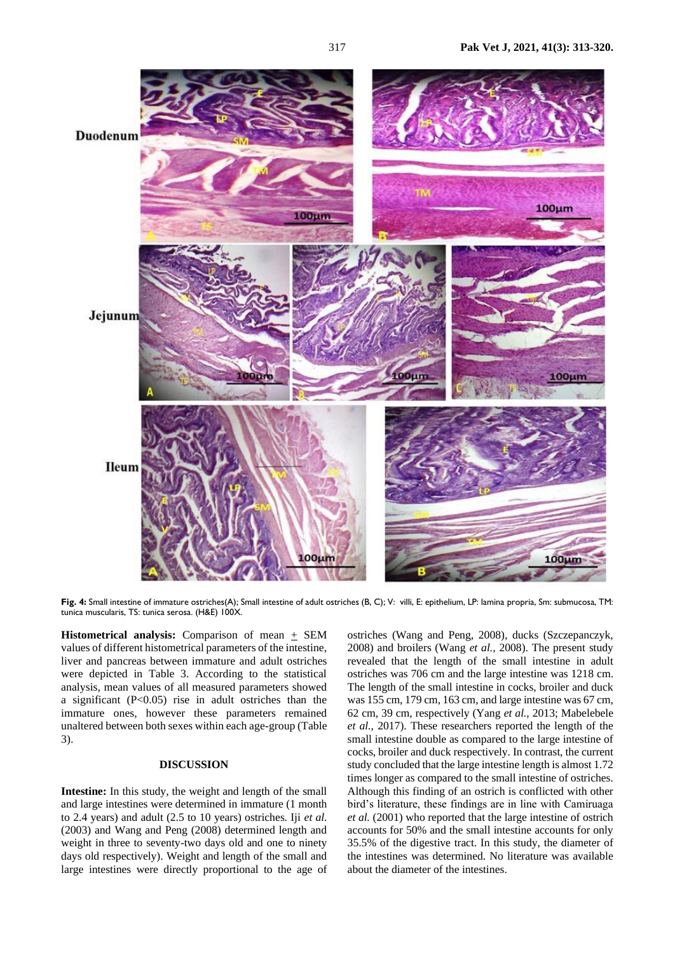

**Fig. 4:** Small intestine of immature ostriches(A); Small intestine of adult ostriches (B, C); V: villi, E: epithelium, LP: lamina propria, Sm: submucosa, TM: tunica muscularis, TS: tunica serosa. (H&E) 100X.

**Histometrical analysis:** Comparison of mean + SEM values of different histometrical parameters of the intestine, liver and pancreas between immature and adult ostriches were depicted in Table 3. According to the statistical analysis, mean values of all measured parameters showed a significant (P<0.05) rise in adult ostriches than the immature ones, however these parameters remained unaltered between both sexes within each age-group (Table 3).

### **DISCUSSION**

**Intestine:** In this study, the weight and length of the small and large intestines were determined in immature (1 month to 2.4 years) and adult (2.5 to 10 years) ostriches. Iji *et al.* (2003) and Wang and Peng (2008) determined length and weight in three to seventy-two days old and one to ninety days old respectively). Weight and length of the small and large intestines were directly proportional to the age of

ostriches (Wang and Peng, 2008), ducks (Szczepanczyk, 2008) and broilers (Wang *et al.,* 2008). The present study revealed that the length of the small intestine in adult ostriches was 706 cm and the large intestine was 1218 cm. The length of the small intestine in cocks, broiler and duck was 155 cm, 179 cm, 163 cm, and large intestine was 67 cm, 62 cm, 39 cm, respectively (Yang *et al.,* 2013; Mabelebele *et al.,* 2017). These researchers reported the length of the small intestine double as compared to the large intestine of cocks, broiler and duck respectively. In contrast, the current study concluded that the large intestine length is almost 1.72 times longer as compared to the small intestine of ostriches. Although this finding of an ostrich is conflicted with other bird's literature, these findings are in line with Camiruaga *et al.* (2001) who reported that the large intestine of ostrich accounts for 50% and the small intestine accounts for only 35.5% of the digestive tract. In this study, the diameter of the intestines was determined. No literature was available about the diameter of the intestines.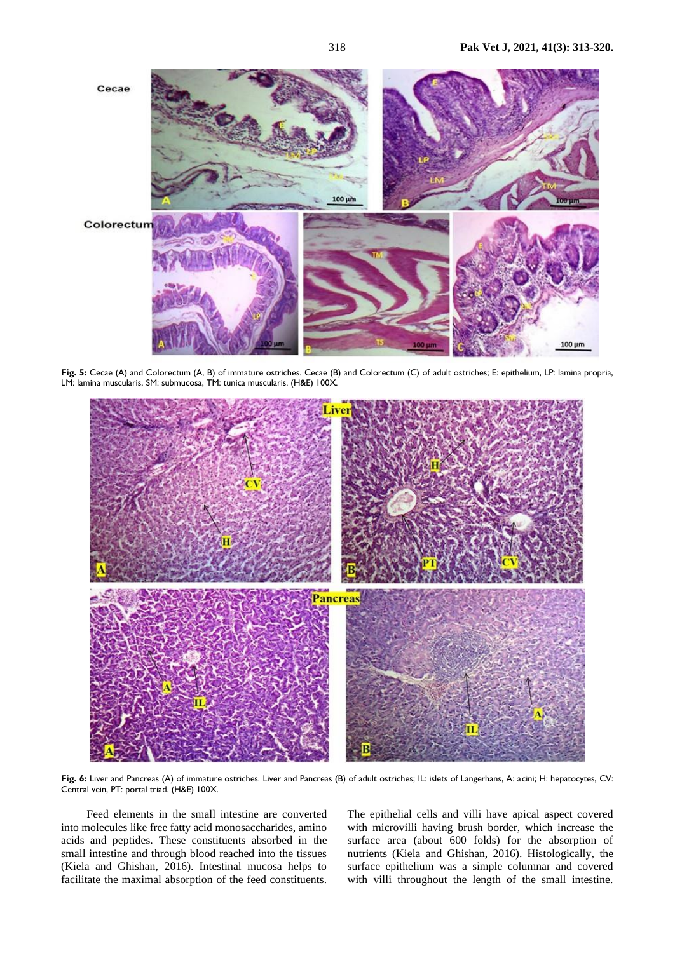

**Fig. 5:** Cecae (A) and Colorectum (A, B) of immature ostriches. Cecae (B) and Colorectum (C) of adult ostriches; E: epithelium, LP: lamina propria, LM: lamina muscularis, SM: submucosa, TM: tunica muscularis. (H&E) 100X.



**Fig. 6:** Liver and Pancreas (A) of immature ostriches. Liver and Pancreas (B) of adult ostriches; IL: islets of Langerhans, A: acini; H: hepatocytes, CV: Central vein, PT: portal triad. (H&E) 100X.

Feed elements in the small intestine are converted into molecules like free fatty acid monosaccharides, amino acids and peptides. These constituents absorbed in the small intestine and through blood reached into the tissues (Kiela and Ghishan, 2016). Intestinal mucosa helps to facilitate the maximal absorption of the feed constituents. The epithelial cells and villi have apical aspect covered with microvilli having brush border, which increase the surface area (about 600 folds) for the absorption of nutrients (Kiela and Ghishan, 2016). Histologically, the surface epithelium was a simple columnar and covered with villi throughout the length of the small intestine.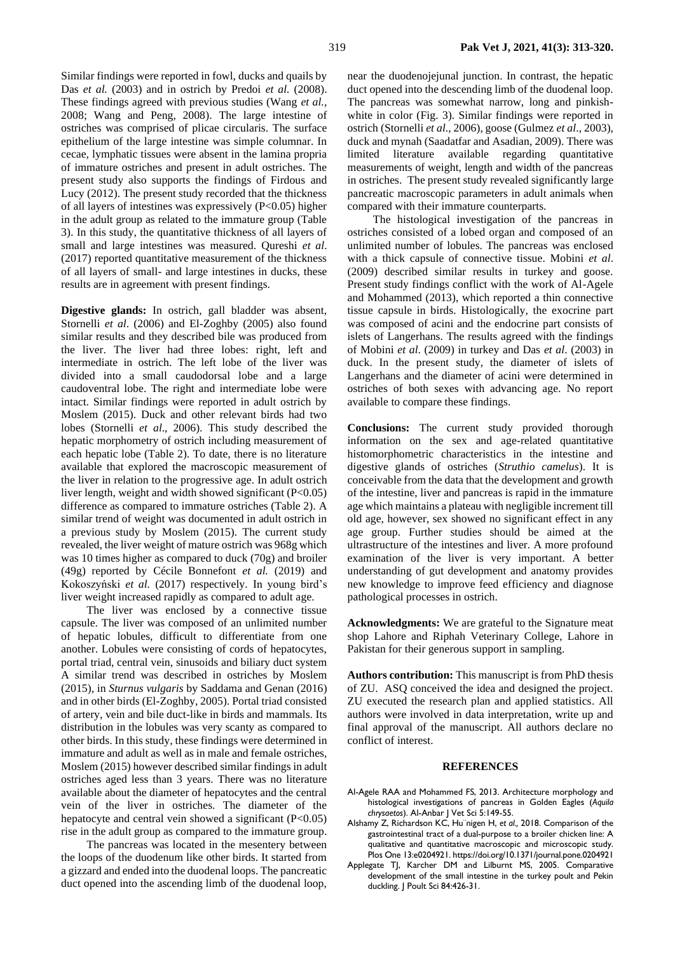Similar findings were reported in fowl, ducks and quails by Das *et al.* (2003) and in ostrich by Predoi *et al.* (2008). These findings agreed with previous studies (Wang *et al.,*  2008; Wang and Peng, 2008). The large intestine of ostriches was comprised of plicae circularis. The surface epithelium of the large intestine was simple columnar. In cecae, lymphatic tissues were absent in the lamina propria of immature ostriches and present in adult ostriches. The present study also supports the findings of Firdous and Lucy (2012). The present study recorded that the thickness of all layers of intestines was expressively  $(P<0.05)$  higher in the adult group as related to the immature group (Table 3). In this study, the quantitative thickness of all layers of small and large intestines was measured. Qureshi *et al*. (2017) reported quantitative measurement of the thickness of all layers of small- and large intestines in ducks, these results are in agreement with present findings.

**Digestive glands:** In ostrich, gall bladder was absent, Stornelli *et al*. (2006) and El-Zoghby (2005) also found similar results and they described bile was produced from the liver. The liver had three lobes: right, left and intermediate in ostrich. The left lobe of the liver was divided into a small caudodorsal lobe and a large caudoventral lobe. The right and intermediate lobe were intact. Similar findings were reported in adult ostrich by Moslem (2015). Duck and other relevant birds had two lobes (Stornelli *et al*., 2006). This study described the hepatic morphometry of ostrich including measurement of each hepatic lobe (Table 2). To date, there is no literature available that explored the macroscopic measurement of the liver in relation to the progressive age. In adult ostrich liver length, weight and width showed significant (P<0.05) difference as compared to immature ostriches (Table 2). A similar trend of weight was documented in adult ostrich in a previous study by Moslem (2015). The current study revealed, the liver weight of mature ostrich was 968g which was 10 times higher as compared to duck (70g) and broiler (49g) reported by Cécile Bonnefont *et al.* (2019) and Kokoszyński *et al.* (2017) respectively. In young bird's liver weight increased rapidly as compared to adult age.

The liver was enclosed by a connective tissue capsule. The liver was composed of an unlimited number of hepatic lobules, difficult to differentiate from one another. Lobules were consisting of cords of hepatocytes, portal triad, central vein, sinusoids and biliary duct system A similar trend was described in ostriches by Moslem (2015), in *Sturnus vulgaris* by Saddama and Genan (2016) and in other birds (El-Zoghby, 2005). Portal triad consisted of artery, vein and bile duct-like in birds and mammals. Its distribution in the lobules was very scanty as compared to other birds. In this study, these findings were determined in immature and adult as well as in male and female ostriches, Moslem (2015) however described similar findings in adult ostriches aged less than 3 years. There was no literature available about the diameter of hepatocytes and the central vein of the liver in ostriches. The diameter of the hepatocyte and central vein showed a significant (P<0.05) rise in the adult group as compared to the immature group.

The pancreas was located in the mesentery between the loops of the duodenum like other birds. It started from a gizzard and ended into the duodenal loops. The pancreatic duct opened into the ascending limb of the duodenal loop,

near the duodenojejunal junction. In contrast, the hepatic duct opened into the descending limb of the duodenal loop. The pancreas was somewhat narrow, long and pinkishwhite in color (Fig. 3). Similar findings were reported in ostrich (Stornelli *et al*., 2006), goose (Gulmez *et al*., 2003), duck and mynah (Saadatfar and Asadian, 2009). There was limited literature available regarding quantitative measurements of weight, length and width of the pancreas in ostriches. The present study revealed significantly large pancreatic macroscopic parameters in adult animals when compared with their immature counterparts.

The histological investigation of the pancreas in ostriches consisted of a lobed organ and composed of an unlimited number of lobules. The pancreas was enclosed with a thick capsule of connective tissue. Mobini *et al*. (2009) described similar results in turkey and goose. Present study findings conflict with the work of Al-Agele and Mohammed (2013), which reported a thin connective tissue capsule in birds. Histologically, the exocrine part was composed of acini and the endocrine part consists of islets of Langerhans. The results agreed with the findings of Mobini *et al*. (2009) in turkey and Das *et al*. (2003) in duck. In the present study, the diameter of islets of Langerhans and the diameter of acini were determined in ostriches of both sexes with advancing age. No report available to compare these findings.

**Conclusions:** The current study provided thorough information on the sex and age-related quantitative histomorphometric characteristics in the intestine and digestive glands of ostriches (*Struthio camelus*). It is conceivable from the data that the development and growth of the intestine, liver and pancreas is rapid in the immature age which maintains a plateau with negligible increment till old age, however, sex showed no significant effect in any age group. Further studies should be aimed at the ultrastructure of the intestines and liver. A more profound examination of the liver is very important. A better understanding of gut development and anatomy provides new knowledge to improve feed efficiency and diagnose pathological processes in ostrich.

**Acknowledgments:** We are grateful to the Signature meat shop Lahore and Riphah Veterinary College, Lahore in Pakistan for their generous support in sampling.

**Authors contribution:** This manuscript is from PhD thesis of ZU. ASQ conceived the idea and designed the project. ZU executed the research plan and applied statistics. All authors were involved in data interpretation, write up and final approval of the manuscript. All authors declare no conflict of interest.

#### **REFERENCES**

- Al-Agele RAA and Mohammed FS, 2013. Architecture morphology and histological investigations of pancreas in Golden Eagles (*Aquila chrysaetos*). Al-Anbar J Vet Sci 5:149-55.
- Alshamy Z, Richardson KC, Hu¨nigen H, *et al.,* 2018. Comparison of the gastrointestinal tract of a dual-purpose to a broiler chicken line: A qualitative and quantitative macroscopic and microscopic study. Plos One 13:e0204921. [https://doi.org/10.1371/journal.p](https://doi.org/10.1371/journal)one.0204921
- Applegate TJ, Karcher DM and Lilburnt MS, 2005. Comparative development of the small intestine in the turkey poult and Pekin duckling. J Poult Sci 84:426-31.